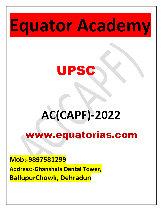# **Equator Academy**



# **AC(CAPF)-2022**

# www.equatorias.com

#### **Mob:-9897581299**

**Address:-Ghanshala Dental Tower, BallupurChowk, Dehradun**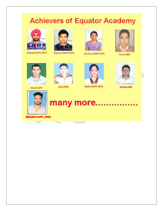# **Achievers of Equator Academy**



Dilproot-CAPF-2019



Rupesh-CAPF-2019



Vaishali-CAPF-2015



Ashok-IMA



**Vivek-CAPF** 



Aarti-OTA

<u>tan di kacamatan ing Kabupatèn Bandar Bandar Bandar Bandar Bandar Bandar Bandar Bandar Bandar Bandar Bandar Ba</u>



Ruchi-CAPF-2012



Akhilsh-IMA



# many more.......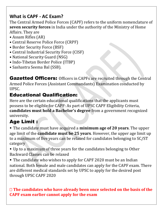#### **What is CAPF - AC Exam?**

The Central Armed Police Forces (CAPF) refers to the uniform nomenclature of **seven security forces** in India under the authority of the Ministry of Home Affairs. They are

- Assam Rifles (AR)
- Central Reserve Police Force (CRPF)
- Border Security Force (BSF)
- Central Industrial Security Force (CISF)
- National Security Guard (NSG)
- Indo-Tibetan Border Police (ITBP)
- Sashastra Seema Bal (SSB).

Gazetted Officers: Officers in CAPFs are recruited through the Central Armed Police Forces (Assistant Commandants) Examination conducted by UPSC.

#### Educational Qualification:

Here are the certain educational qualifications that the applicants must possess to be eligible for CAPF: As part of UPSC CAPF Eligibility Criteria, **candidates must hold a Bachelor's degree** from a government recognized university.

### Age Limit :

• The candidate must have acquired a **minimum age of 20 years**. The upper age limit of the **candidate must be 25 years**. However, the upper age limit up to a maximum of five years can be relaxed for candidates belonging to SC/ST category

• Up to a maximum of three years for the candidates belonging to Other Backward Classes can be relaxed

• The candidate who wishes to apply for CAPF 2020 must be an Indian national. Both female and male candidates can apply for the CAPF exam. There are different medical standards set by UPSC to apply for the desired post through UPSC CAPF 2020

#### **The candidates who have already been once selected on the basis of the CAPF exam earlier cannot apply for the exam**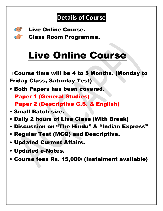# **Details of Course**



Live Online Course.

**Class Room Programme.** 

# Live Online Course

□ Course time will be 4 to 5 Months. (Monday to Friday Class, Saturday Test)

• Both Papers has been covered. Paper 1 (General Studies) Paper 2 (Descriptive G.S. & English)

- Small Batch size.
- Daily 2 hours of Live Class (With Break)
- Discussion on "The Hindu" & "Indian Express"
- Regular Test (MCQ) and Descriptive.
- Updated Current Affairs.
- Updated e-Notes.
- Course fees Rs. 15,000/ (Instalment available)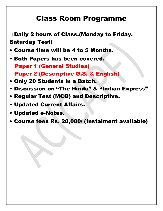## Class Room Programme

□ Daily 2 hours of Class.(Monday to Friday, Saturday Test)

- Course time will be 4 to 5 Months.
- Both Papers has been covered. Paper 1 (General Studies) Paper 2 (Descriptive G.S. & English)
- Only 20 Students in a Batch.
- Discussion on "The Hindu" & "Indian Express"
- Regular Test (MCQ) and Descriptive.
- Updated Current Affairs.
- Updated e-Notes.
- Course fees Rs. 20,000/ (Instalment available)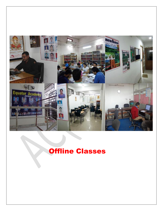

## Offline Classes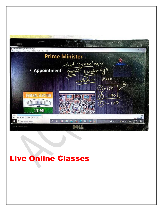

# Live Online Classes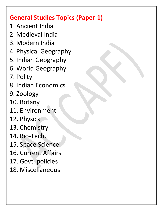## **General Studies Topics (Paper-1)**

- 1. Ancient India
- 2. Medieval India
- 3. Modern India
- 4. Physical Geography
- 5. Indian Geography
- 6. World Geography
- 7. Polity
- 8. Indian Economics
- 9. Zoology
- 10. Botany
- 11. Environment
- 12. Physics
- 13. Chemistry
- 14. Bio-Tech.
- 15. Space Science
- 16. Current Affairs
- 17. Govt. policies
- 18. Miscellaneous